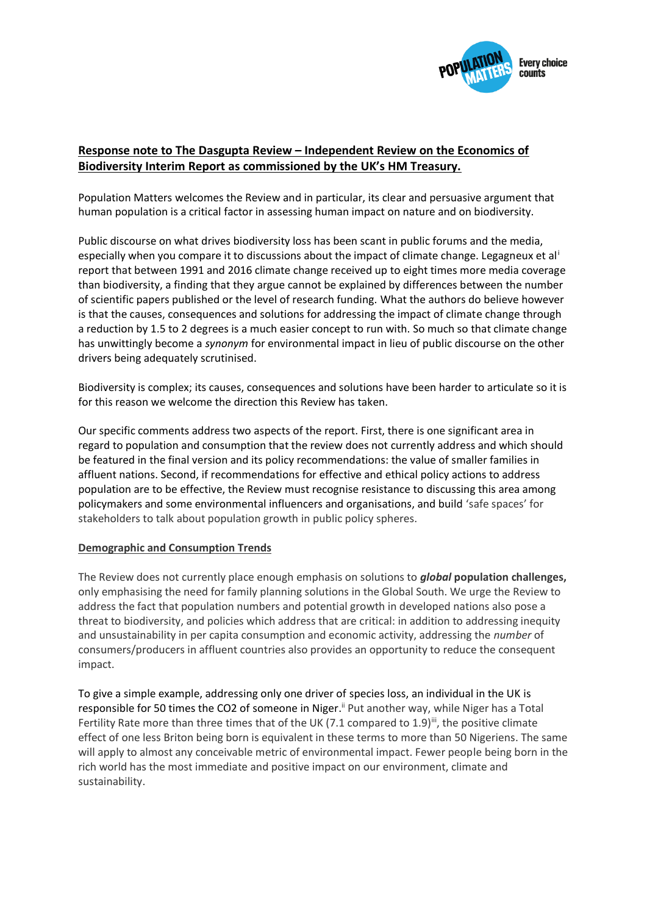

# **Response note to The Dasgupta Review – Independent Review on the Economics of Biodiversity Interim Report as commissioned by the UK's HM Treasury.**

Population Matters welcomes the Review and in particular, its clear and persuasive argument that human population is a critical factor in assessing human impact on nature and on biodiversity.

Public discourse on what drives biodiversity loss has been scant in public forums and the media, especially when you compare it to discussions about the impact of climate change. Legagneux et al<sup>i</sup> report that between 1991 and 2016 climate change received up to eight times more media coverage than biodiversity, a finding that they argue cannot be explained by differences between the number of scientific papers published or the level of research funding. What the authors do believe however is that the causes, consequences and solutions for addressing the impact of climate change through a reduction by 1.5 to 2 degrees is a much easier concept to run with. So much so that climate change has unwittingly become a *synonym* for environmental impact in lieu of public discourse on the other drivers being adequately scrutinised.

Biodiversity is complex; its causes, consequences and solutions have been harder to articulate so it is for this reason we welcome the direction this Review has taken.

Our specific comments address two aspects of the report. First, there is one significant area in regard to population and consumption that the review does not currently address and which should be featured in the final version and its policy recommendations: the value of smaller families in affluent nations. Second, if recommendations for effective and ethical policy actions to address population are to be effective, the Review must recognise resistance to discussing this area among policymakers and some environmental influencers and organisations, and build 'safe spaces' for stakeholders to talk about population growth in public policy spheres.

#### **Demographic and Consumption Trends**

The Review does not currently place enough emphasis on solutions to *global* **population challenges,** only emphasising the need for family planning solutions in the Global South. We urge the Review to address the fact that population numbers and potential growth in developed nations also pose a threat to biodiversity, and policies which address that are critical: in addition to addressing inequity and unsustainability in per capita consumption and economic activity, addressing the *number* of consumers/producers in affluent countries also provides an opportunity to reduce the consequent impact.

To give a simple example, addressing only one driver of species loss, an individual in the U[K is](about:blank)  [responsible for 50 times the CO2 of someone in Niger.](about:blank)<sup>ii</sup> Put another way, while Niger has a Total Fertility Rate more than three times that of the UK (7.1 compared to 1.9)<sup>iii</sup>, the positive climate effect of one less Briton being born is equivalent in these terms to more than 50 Nigeriens. The same will apply to almost any conceivable metric of environmental impact. Fewer people being born in the rich world has the most immediate and positive impact on our environment, climate and sustainability.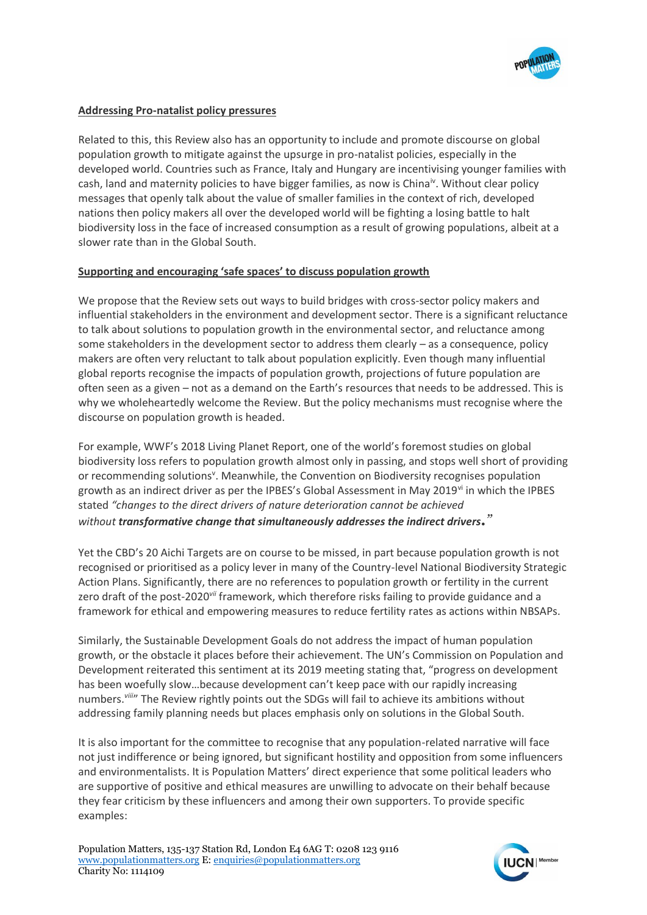

## **Addressing Pro-natalist policy pressures**

Related to this, this Review also has an opportunity to include and promote discourse on global population growth to mitigate against the upsurge in pro-natalist policies, especially in the developed world. Countries such as France, Italy and Hungary are incentivising younger families with cash, land and maternity policies to have bigger families, as now is China<sup>iv</sup>. Without clear policy messages that openly talk about the value of smaller families in the context of rich, developed nations then policy makers all over the developed world will be fighting a losing battle to halt biodiversity loss in the face of increased consumption as a result of growing populations, albeit at a slower rate than in the Global South.

#### **Supporting and encouraging 'safe spaces' to discuss population growth**

We propose that the Review sets out ways to build bridges with cross-sector policy makers and influential stakeholders in the environment and development sector. There is a significant reluctance to talk about solutions to population growth in the environmental sector, and reluctance among some stakeholders in the development sector to address them clearly – as a consequence, policy makers are often very reluctant to talk about population explicitly. Even though many influential global reports recognise the impacts of population growth, projections of future population are often seen as a given – not as a demand on the Earth's resources that needs to be addressed. This is why we wholeheartedly welcome the Review. But the policy mechanisms must recognise where the discourse on population growth is headed.

For example, WWF's 2018 Living Planet Report, one of the world's foremost studies on global biodiversity loss refers to population growth almost only in passing, and stops well short of providing or recommending solutions<sup>v</sup>. Meanwhile, the Convention on Biodiversity recognises population growth as an indirect driver as per the IPBES's Global Assessment in May 2019<sup>vi</sup> in which the IPBES stated *"changes to the direct drivers of nature deterioration cannot be achieved without transformative change that simultaneously addresses the indirect drivers."* 

Yet the CBD's 20 Aichi Targets are on course to be missed, in part because population growth is not recognised or prioritised as a policy lever in many of the Country-level National Biodiversity Strategic Action Plans. Significantly, there are no references to population growth or fertility in the current zero draft of the post-2020*vii* framework, which therefore risks failing to provide guidance and a framework for ethical and empowering measures to reduce fertility rates as actions within NBSAPs.

Similarly, the Sustainable Development Goals do not address the impact of human population growth, or the obstacle it places before their achievement. The UN's Commission on Population and Development reiterated this sentiment at its 2019 meeting stating that, "progress on development has been woefully slow…because development can't keep pace with our rapidly increasing numbers.*viii*" The Review rightly points out the SDGs will fail to achieve its ambitions without addressing family planning needs but places emphasis only on solutions in the Global South.

It is also important for the committee to recognise that any population-related narrative will face not just indifference or being ignored, but significant hostility and opposition from some influencers and environmentalists. It is Population Matters' direct experience that some political leaders who are supportive of positive and ethical measures are unwilling to advocate on their behalf because they fear criticism by these influencers and among their own supporters. To provide specific examples:

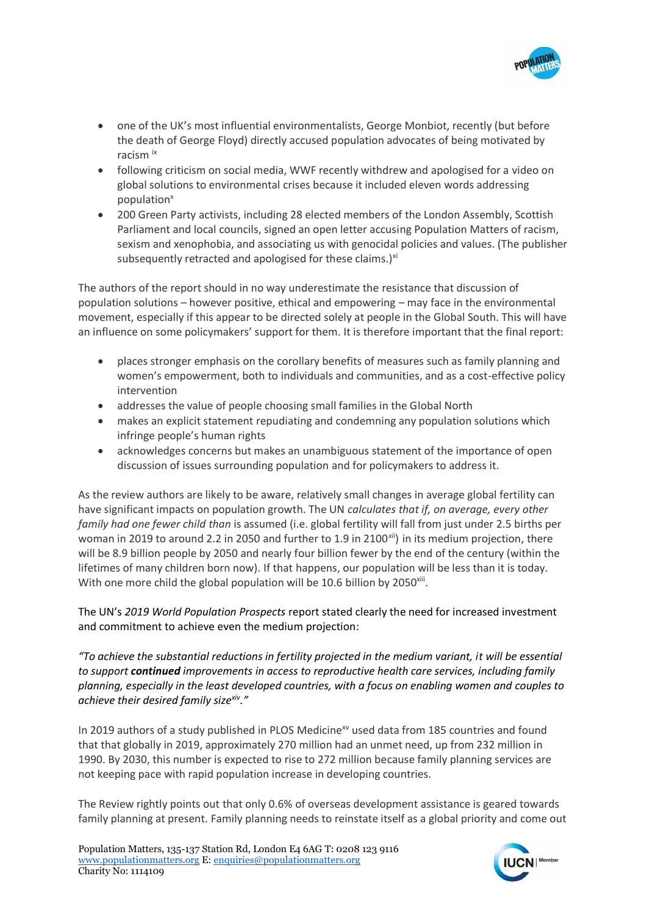

- one of the UK's most influential environmentalists, George Monbiot, recently (but before the death of George Floyd) directly accused population advocates of being motivated by racism ix
- following criticism on social media, WWF recently withdrew and apologised for a video on global solutions to environmental crises because it included eleven words addressing population<sup>x</sup>
- 200 Green Party activists, including 28 elected members of the London Assembly, Scottish Parliament and local councils, signed an open letter accusing Population Matters of racism, sexism and xenophobia, and associating us with genocidal policies and values. (The publisher subsequently retracted and apologised for these claims.) $x_i$

The authors of the report should in no way underestimate the resistance that discussion of population solutions – however positive, ethical and empowering – may face in the environmental movement, especially if this appear to be directed solely at people in the Global South. This will have an influence on some policymakers' support for them. It is therefore important that the final report:

- places stronger emphasis on the corollary benefits of measures such as family planning and women's empowerment, both to individuals and communities, and as a cost-effective policy intervention
- addresses the value of people choosing small families in the Global North
- makes an explicit statement repudiating and condemning any population solutions which infringe people's human rights
- acknowledges concerns but makes an unambiguous statement of the importance of open discussion of issues surrounding population and for policymakers to address it.

As the review authors are likely to be aware, relatively small changes in average global fertility can have significant impacts on population growth. The UN *calculates that if, on average, every other family had one fewer child than* is assumed (i.e. global fertility will fall from just under 2.5 births per woman in 2019 to around 2.2 in 2050 and further to 1.9 in 2100*xii*) in its medium projection, there will be 8.9 billion people by 2050 and nearly four billion fewer by the end of the century (within the lifetimes of many children born now). If that happens, our population will be less than it is today. With one more child the global population will be 10.6 billion by 2050<sup>xiii</sup>.

The UN's *2019 World Population Prospects* report stated clearly the need for increased investment and commitment to achieve even the medium projection:

*"To achieve the substantial reductions in fertility projected in the medium variant, it will be essential to support continued improvements in access to reproductive health care services, including family planning, especially in the least developed countries, with a focus on enabling women and couples to achieve their desired family sizexiv."*

In 2019 authors of a study published in PLOS Medicine<sup>xv</sup> used data from 185 countries and found that that globally in 2019, approximately 270 million had an unmet need, up from 232 million in 1990. By 2030, this number is expected to rise to 272 million because family planning services are not keeping pace with rapid population increase in developing countries.

The Review rightly points out that only 0.6% of overseas development assistance is geared towards family planning at present. Family planning needs to reinstate itself as a global priority and come out

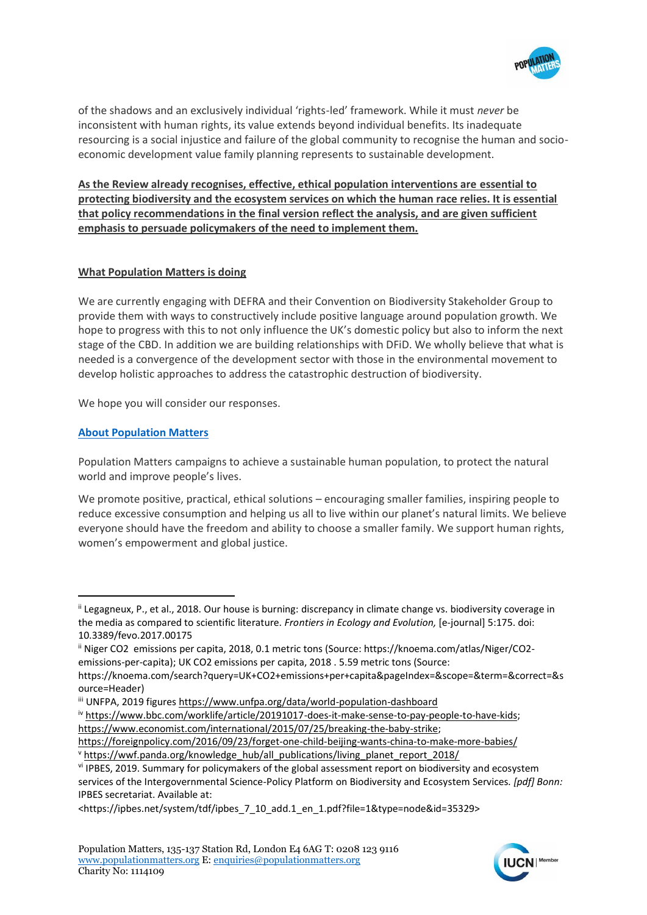

of the shadows and an exclusively individual 'rights-led' framework. While it must *never* be inconsistent with human rights, its value extends beyond individual benefits. Its inadequate resourcing is a social injustice and failure of the global community to recognise the human and socioeconomic development value family planning represents to sustainable development.

**As the Review already recognises, effective, ethical population interventions are essential to protecting biodiversity and the ecosystem services on which the human race relies. It is essential that policy recommendations in the final version reflect the analysis, and are given sufficient emphasis to persuade policymakers of the need to implement them.** 

## **What Population Matters is doing**

We are currently engaging with DEFRA and their Convention on Biodiversity Stakeholder Group to provide them with ways to constructively include positive language around population growth. We hope to progress with this to not only influence the UK's domestic policy but also to inform the next stage of the CBD. In addition we are building relationships with DFiD. We wholly believe that what is needed is a convergence of the development sector with those in the environmental movement to develop holistic approaches to address the catastrophic destruction of biodiversity.

We hope you will consider our responses.

## **About Population Matters**

Population Matters campaigns to achieve a sustainable human population, to protect the natural world and improve people's lives.

We promote positive, practical, ethical solutions – encouraging smaller families, inspiring people to reduce excessive consumption and helping us all to live within our planet's natural limits. We believe everyone should have the freedom and ability to choose a smaller family. We support human rights, women's empowerment and global justice.

-



ii Legagneux, P., et al., 2018. Our house is burning: discrepancy in climate change vs. biodiversity coverage in the media as compared to scientific literature. *Frontiers in Ecology and Evolution,* [e-journal] 5:175. doi: 10.3389/fevo.2017.00175

ii Niger CO2 emissions per capita, 2018, 0.1 metric tons (Source: https://knoema.com/atlas/Niger/CO2 emissions-per-capita); UK CO2 emissions per capita, 2018 . 5.59 metric tons (Source: https://knoema.com/search?query=UK+CO2+emissions+per+capita&pageIndex=&scope=&term=&correct=&s

ource=Header)

iii UNFPA, 2019 figure[s https://www.unfpa.org/data/world-population-dashboard](https://www.unfpa.org/data/world-population-dashboard)

iv [https://www.bbc.com/worklife/article/20191017-does-it-make-sense-to-pay-people-to-have-kids;](about:blank) [https://www.economist.com/international/2015/07/25/breaking-the-baby-strike;](about:blank)

[https://foreignpolicy.com/2016/09/23/forget-one-child-beijing-wants-china-to-make-more-babies/](about:blank) v [https://wwf.panda.org/knowledge\\_hub/all\\_publications/living\\_planet\\_report\\_2018/](https://wwf.panda.org/knowledge_hub/all_publications/living_planet_report_2018/)

vi IPBES, 2019. Summary for policymakers of the global assessment report on biodiversity and ecosystem services of the Intergovernmental Science-Policy Platform on Biodiversity and Ecosystem Services*. [pdf] Bonn:*  IPBES secretariat. Available at:

<sup>&</sup>lt;https://ipbes.net/system/tdf/ipbes\_7\_10\_add.1\_en\_1.pdf?file=1&type=node&id=35329>